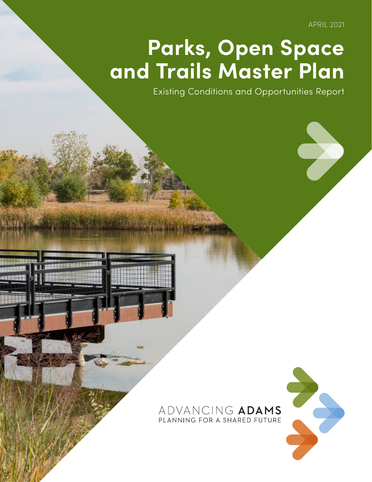APRIL 2021

## **Parks, Open Space and Trails Master Plan**

Existing Conditions and Opportunities Report

## ADVANCING ADAMS PLANNING FOR A SHARED FUTURE